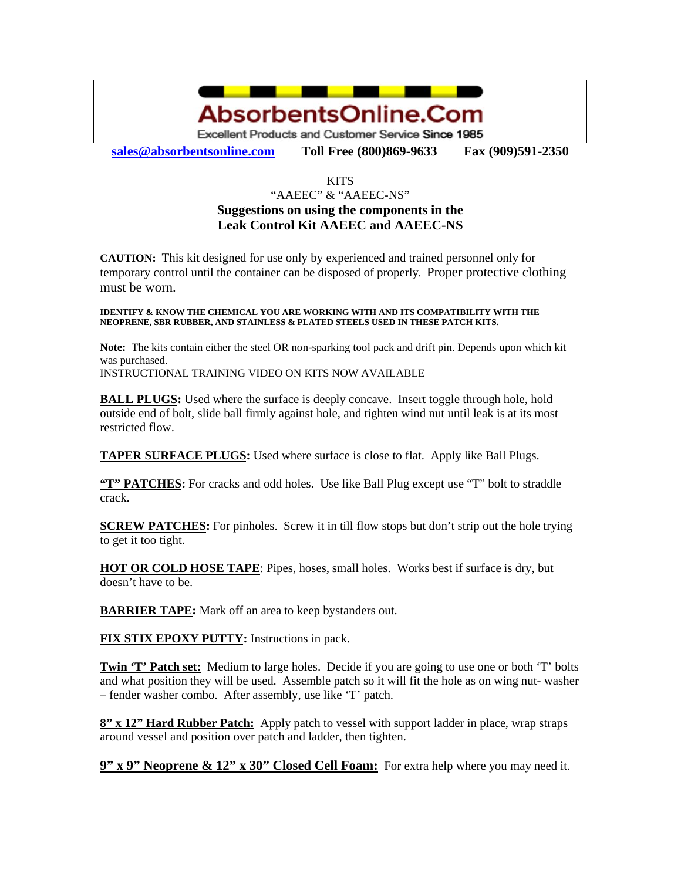

**sales@absorbentsonline.com Toll Free (800)869-9633 Fax (909)591-2350**

## **KITS**

## "AAEEC" & "AAEEC-NS" **Suggestions on using the components in the Leak Control Kit AAEEC and AAEEC-NS**

**CAUTION:** This kit designed for use only by experienced and trained personnel only for temporary control until the container can be disposed of properly. Proper protective clothing must be worn.

## **IDENTIFY & KNOW THE CHEMICAL YOU ARE WORKING WITH AND ITS COMPATIBILITY WITH THE NEOPRENE, SBR RUBBER, AND STAINLESS & PLATED STEELS USED IN THESE PATCH KITS.**

**Note:** The kits contain either the steel OR non-sparking tool pack and drift pin. Depends upon which kit was purchased.

INSTRUCTIONAL TRAINING VIDEO ON KITS NOW AVAILABLE

**BALL PLUGS:** Used where the surface is deeply concave. Insert toggle through hole, hold outside end of bolt, slide ball firmly against hole, and tighten wind nut until leak is at its most restricted flow.

**TAPER SURFACE PLUGS:** Used where surface is close to flat. Apply like Ball Plugs.

**"T" PATCHES:** For cracks and odd holes. Use like Ball Plug except use "T" bolt to straddle crack.

**SCREW PATCHES:** For pinholes. Screw it in till flow stops but don't strip out the hole trying to get it too tight.

**HOT OR COLD HOSE TAPE**: Pipes, hoses, small holes. Works best if surface is dry, but doesn't have to be.

**BARRIER TAPE:** Mark off an area to keep bystanders out.

**FIX STIX EPOXY PUTTY:** Instructions in pack.

**Twin 'T' Patch set:** Medium to large holes. Decide if you are going to use one or both 'T' bolts and what position they will be used. Assemble patch so it will fit the hole as on wing nut- washer – fender washer combo. After assembly, use like 'T' patch.

**8" x 12" Hard Rubber Patch:** Apply patch to vessel with support ladder in place, wrap straps around vessel and position over patch and ladder, then tighten.

**9" x 9" Neoprene & 12" x 30" Closed Cell Foam:** For extra help where you may need it.